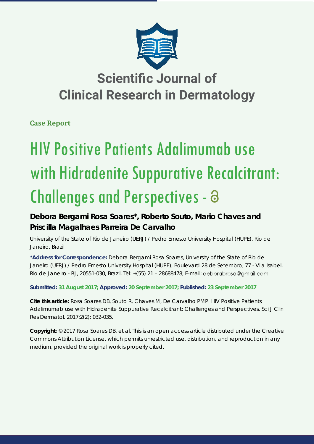

## **Scientific Journal of Clinical Research in Dermatology**

**Case Report**

# HIV Positive Patients Adalimumab use with Hidradenite Suppurative Recalcitrant: Challenges and Perspectives -

### **Debora Bergami Rosa Soares\*, Roberto Souto, Mario Chaves and Priscilla Magalhaes Parreira De Carvalho**

*University of the State of Rio de Janeiro (UERJ) / Pedro Ernesto University Hospital (HUPE), Rio de Janeiro, Brazil*

**\*Address for Correspondence:** Debora Bergami Rosa Soares, University of the State of Rio de Janeiro (UERJ) / Pedro Ernesto University Hospital (HUPE), Boulevard 28 de Setembro, 77 - Vila Isabel, Rio de Janeiro - RJ, 20551-030, Brazil, Tel: +(55) 21 – 28688478; E-mail:

**Submitted: 31 August 2017; Approved: 20 September 2017; Published: 23 September 2017**

**Cite this article:** Rosa Soares DB, Souto R, Chaves M, De Carvalho PMP. HIV Positive Patients Adalimumab use with Hidradenite Suppurative Recalcitrant: Challenges and Perspectives. Sci J Clin Res Dermatol. 2017;2(2): 032-035.

**Copyright:** © 2017 Rosa Soares DB, et al. This is an open access article distributed under the Creative Commons Attribution License, which permits unrestricted use, distribution, and reproduction in any medium, provided the original work is properly cited.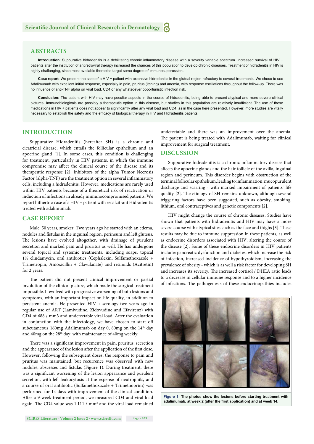#### **ABSTRACTS**

Introduction: Suppurative hidradenitis is a debilitating chronic inflammatory disease with a severity variable spectrum. Increased survival of HIV + patients after the institution of antiretroviral therapy increased the chances of this population to develop chronic diseases. Treatment of hidradenitis in HIV is highly challenging, since most available therapies target some degree of immunosuppression.

Case report: We present the case of a HIV + patient with extensive hidradenitis in the gluteal region refractory to several treatments. We chose to use Adalimumab with excellent initial response, especially in pain, pruritus (itching) and anemia, with response oscillations throughout the follow-up. There was no influence of anti-TNF alpha on viral load, CD4 or any whatsoever opportunistic infection risk.

**Conclusion:** The patient with HIV may have peculiar aspects in the course of hidradenitis, being able to present atypical and more severe clinical pictures. Immunobiologicals are possibly a therapeutic option in this disease, but studies in this population are relatively insufficient. The use of these medications in HIV + patients does not appear to significantly alter any viral load and CD4, as in the case here presented. However, more studies are vitally necessary to establish the safety and the efficacy of biological therapy in HIV and Hidradenitis patients.

#### **INTRODUCTION**

Suppurative Hidradenitis (hereafter SH) is a chronic and cicatricial disease, which entails the follicular epithelium and an apocrine gland [1]. In some cases, this condition is challenging for treatment, particularly in HIV patients, in which the immune compromise may affect the clinical course of the disease and its therapeutic response [2]. Inhibitors of the alpha Tumor Necrosis Factor (alpha-TNF) are the treatment option in several inflammatory cells, including a hidradenitis. However, medications are rarely used within HIV patients because of a theoretical risk of reactivation or induction of infections in already immunocompromised patients. We report hitherto a case of a HIV + patient with recalcitrant Hidradenitis treated with adalimumab.

#### **CASE REPORT**

Male, 50 years, smoker. Two years ago he started with an edema, nodules and fistulas in the inguinal region, perineum and left gluteus. The lesions have evolved altogether, with drainage of purulent secretion and marked pain and pruritus as well. He has undergone several topical and systemic treatments, including soaps, topical 1% clindamycin, oral antibiotics (Cephalexin, Sulfamethoxazole + Trimetropin, Amoxicillin + Clavulanate) and retinoids (Acitretin) for 2 years.

The patient did not present clinical improvement or partial involution of the clinical picture, which made the surgical treatment impossible. It evolved with progressive worsening of both lesions and symptoms, with an important impact on life quality, in addition to persistent anemia. He presented HIV + serology two years ago in regular use of ART (Lamivudine, Zidovudine and Efavirenz) with CD4 of 688 / mm3 and undetectable viral load. After the evaluation in conjunction with the infectology, we have chosen to start off subcutaneous 160mg Adalimumab on day 0, 80mg on the 14<sup>th</sup> day and 40mg on the 28<sup>th</sup> day, with maintenance of 40mg weekly.

There was a significant improvement in pain, pruritus, secretion and the appearance of the lesion after the application of the first dose. However, following the subsequent doses, the response to pain and pruritus was maintained, but recurrence was observed with new nodules, abscesses and fistulas (Figure 1). During treatment, there was a significant worsening of the lesion appearance and purulent secretion, with left leukocytosis at the expense of neutrophils, and a course of oral antibiotic (Sulfamethoxazole + Trimethoprim) was performed for 14 days with improvement of the clinical condition. After a 9-week-treatment period, we measured CD4 and viral load again. The CD4 value was  $1.111 / mm<sup>3</sup>$  and the viral load remained undetectable and there was an improvement over the anemia. The patient is being treated with Adalimumab, waiting for clinical improvement for surgical treatment.

#### **DISCUSSION**

Suppurative hidradenitis is a chronic inflammatory disease that affects the apocrine glands and the hair follicle of the axilla, inguinal region and perineum. This disorder begins with obstruction of the terminal follicular epithelium, leading to inflammation, mucopurulent discharge and scarring - with marked impairment of patients' life quality [2]. The etiology of SH remains unknown, although several triggering factors have been suggested, such as obesity, smoking, lithium, oral contraceptives and genetic components [2].

HIV might change the course of chronic diseases. Studies have shown that patients with hidradenitis and HIV may have a more severe course with atypical sites such as the face and thighs [3]. These results may be due to immune suppression in these patients, as well as endocrine disorders associated with HIV, altering the course of the disease [2]. Some of these endocrine disorders in HIV patients include: pancreatic dysfunction and diabetes, which increase the risk of infection, increased incidence of hypothyroidism, increasing the prevalence of obesity - which is as well a risk factor for developing SH and increases its severity. The increased cortisol / DHEA ratio leads to a decrease in cellular immune response and to a higher incidence of infections. The pathogenesis of these endocrinopathies includes



**Figure 1: The photos show the lesions before starting treatment with**  adalimumab, at week 2 (after the first application) and at week 14.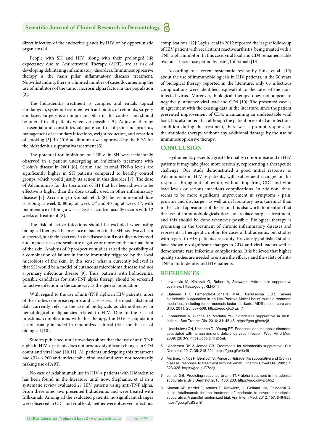#### **Scientific Journal of Clinical Research in Dermatology** a

direct infection of the endocrine glands by HIV or by opportunistic organisms [4].

People with SH and HIV, along with their prolonged life expectancy due to Antiretroviral Therapy (ART), are at risk of developing debilitating inflammatory disorders. Immunosuppressive therapy is the main pillar inflammatory diseases treatment. Notwithstanding, there is a limited number of cases documenting the use of inhibitors of the tumor necrosis alpha factor in this population [2].

The hidradenitis treatment is complex and entails topical clindamycin, systemic treatment with antibiotics or retinoids, surgery and laser. Surgery is an important pillar in this context and should be offered to all patients whenever possible [5]. Adjuvant therapy is essential and constitutes adequate control of pain and pruritus, management of secondary infections, weight reduction, and cessation of smoking [5]. In 2016 adalimumab was approved by the FDA for the hidradenitis suppurativa treatment [5].

The potential for inhibition of TNF- $\alpha$  in SH was accidentally observed in a patient undergoing an infliximab treatment with Crohn's disease in 2001 [6]. Serum and lesional TNF-α levels are significantly higher in SH patients compared to healthy control groups, which would justify its action in this disorder [7]. The dose of Adalimumab for the treatment of SH that has been shown to be effective is higher than the dose usually used in other inflammatory diseases [5]. According to Kimball, et al. [8] the recommended dose is 160mg at week 0, 80mg at week  $2<sup>nd</sup>$  and 40 mg at week  $4<sup>th</sup>$ , with maintenance of 40mg a week. Disease control usually occurs with 12 weeks of treatment [8].

The risk of active infections should be excluded when using biological therapy. The presence of bacteria in the SH has always been suspected, but their exact role in the disease is still not fully understood and in most cases the swabs are negative or represent the normal flora of the skin. Analysis of 9 prospective studies raised the possibility of a combination of failure in innate immunity triggered by the local microbiota of the skin. In this sense, what is currently believed is that SH would be a model of cutaneous microbioma disease and not a primary infectious disease [9]. Thus, patients with hidradenitis, possible candidates for anti-TNF alpha therapy should be screened for active infection in the same way as the general population.

With regard to the use of anti-TNF alpha in HIV patients, most of the studies comprise reports and case series. The most substantial data currently refer to the use of biologicals as chemotherapy in hematological malignancies related to HIV. Due to the risk of infectious complications with this therapy, the HIV + population is not usually included in randomized clinical trials for the use of biological [10].

Studies published until nowadays show that the use of anti-TNF alpha in  $HIV +$  patients does not produce significant changes in  $CD4$ count and viral load [10,11]. All patients undergoing this treatment had CD4 > 200 and undetectable viral load and were not necessarily making use of ART.

No case of Adalimumab use in HIV + patients with Hidradenite has been found in the literature until now. Stephanie, et al in a systematic review evaluated 27 HIV patients using anti-TNF alpha. From these ones, two presented hidradenitis and were treated with Infliximab. Among all the evaluated patients, no significant changes were observed in CD4 and viral load, neither were observed infectious complications [12]. Gaylis, et al in 2012 reported the largest follow-up of HIV patient with recalcitrant reactive arthritis, being treated with a TNF-alpha inhibitor. In this case, viral load and CD4 remained stable over an 11-year-use period by using Infliximab [13].

According to a recent systematic review by Fink, et al. [10] about the use of immunobiologicals in HIV patients, in the 50 years of biological therapy reported in the literature, only 03 infectious complications were identified, equivalent to the rates of the noninfected virus. Moreover, biological therapy does not appear to negatively influence viral load and CD4 [10]. The presented case is in agreement with the existing data in the literature, since the patient presented improvement of CD4, maintaining an undetectable viral load. It is also noted that although the patient presented an infectious condition during the treatment, there was a prompt response to the antibiotic therapy without any additional damage by the use of immunosuppressive therapy.

#### **CONCLUSION**

Hydradenitis presents a great life quality compromise and in HIV patients it may take place more seriously, representing a therapeutic challenge. Our study demonstrated a good initial response to Adalimumab in HIV + patients, with subsequent changes in this response throughout follow-up, without impairing CD4 and viral load levels or serious infectious complications. In addition, there seems to be more significant improvement in symptoms - pain, pruritus and discharge - as well as in laboratory tests (anemia) than in the actual appearance of the lesion. It is also worth to mention that the use of immunobiologicals does not replace surgical treatment, and this should be done whenever possible. Biological therapy is promising in the treatment of chronic inflammatory diseases and represents a therapeutic option for cases of hidradenitis; but studies with regard to HIV patients are scanty. Previously published studies have shown no significant changes in CD4 and viral load as well as demonstrate rare infectious complications. It is believed that higher quality studies are needed to ensure the efficacy and the safety of anti-TNF in hidradenitis and HIV patients.

#### **REFERENCES**

- 1. Jovanovic M, Kihiczak G, Robert A, Schwartz. Hidradenitis suppurativa overview. https://goo.gl/RLH5T1
- 2. Elahmed HH, Fernandez-Pugnaire MAF, Carrascosa JCR. Severe hidradenitis suppurative in an HIV-Positive Male: Use of multiple treatment modalities, including tumor necrosis factor blockade. AIDS patient care and STD. 2011; 25: 507-508. https://goo.gl/xXEsT7
- 3. Khambhati V, Singhal P, Marfatia YS. hidradenitis suppurativa in AIDS. Indian J Sex Transm Dis. 2010; 31: 45-46. https://goo.gl/cVtej8
- 4. Unachukwu CN, Uchenna DI, Young EE. Endocrine and metabolic disorders associated with human immune deficiency virus infection. West Afr J Med. 2009; 28: 3-9. https://goo.gl/tTBRmB
- Andersen RK & Jemec GB. Treatments for hidradenitis suppurativa. Clin Dermatol. 2017; 35: 218-224. https://goo.gl/u4Ksi9
- 6. Martinez F, Nos P, Benlloch S, Ponce J. Hidradenitis suppurativa and Crohn's disease: response to treatment with infliximab. Inflamm Bowel Dis. 2001: 7: 323-326. https://goo.gl/G7eejt
- 7. Jemec GB. Predicting response to anti-TNF-alpha treatment in hidradenitis suppurativa. Br J Dermatol 2013; 168: 233. https://goo.gl/wDoA5Z
- 8. Kimball AB, Kerdel F, Adams D, Mrowietz, U, Gelfand JM, Gniadecki R, et al. Adalimumab for the treatment of moderate to severe hidradenitis suppurativa. A parallel randomized trial. Ann Intern Med. 2012; 157: 846-855. https://goo.gl/zBSvnB